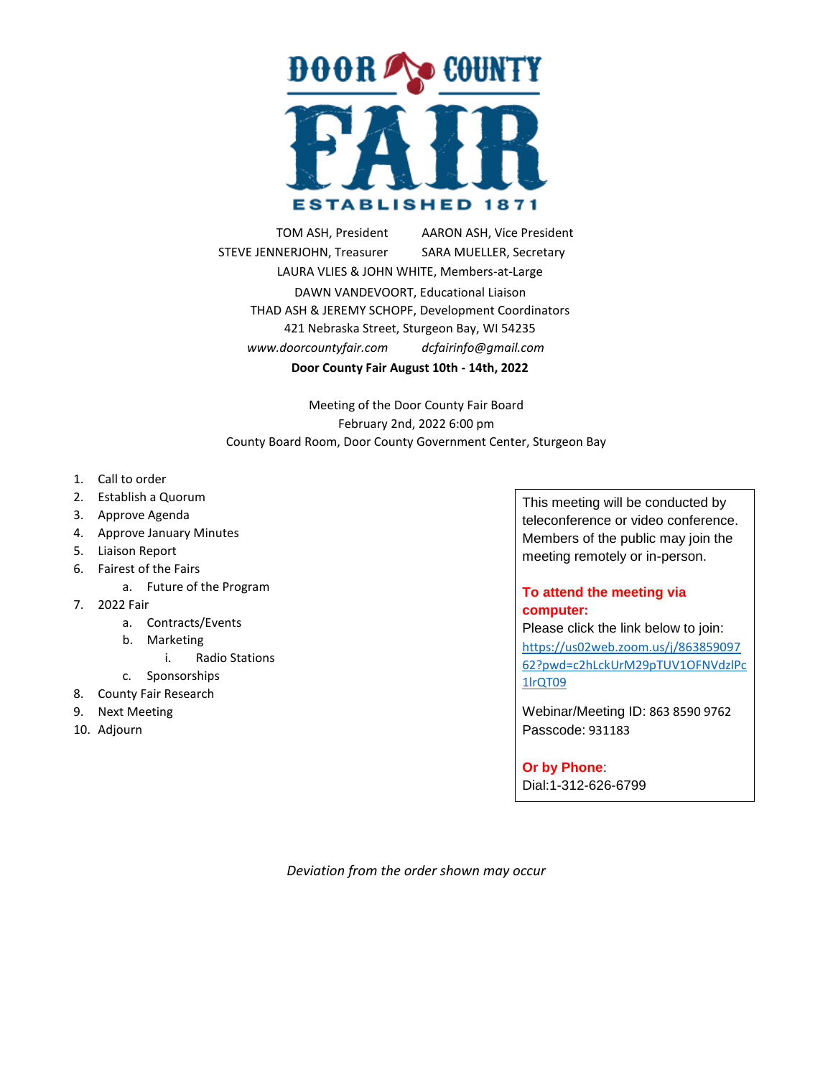

TOM ASH, President ... AARON ASH, Vice President STEVE JENNERJOHN, Treasurer SARA MUELLER, Secretary LAURA VLIES & JOHN WHITE, Members-at-Large DAWN VANDEVOORT, Educational Liaison THAD ASH & JEREMY SCHOPF, Development Coordinators 421 Nebraska Street, Sturgeon Bay, WI 54235 *www.doorcountyfair.com . dcfairinfo@gmail.com* **Door County Fair August 10th - 14th, 2022**

Meeting of the Door County Fair Board February 2nd, 2022 6:00 pm County Board Room, Door County Government Center, Sturgeon Bay

- 1. Call to order
- 2. Establish a Quorum
- 3. Approve Agenda
- 4. Approve January Minutes
- 5. Liaison Report
- 6. Fairest of the Fairs
	- a. Future of the Program
- 7. 2022 Fair
	- a. Contracts/Events
	- b. Marketing
		- i. Radio Stations
	- c. Sponsorships
- 8. County Fair Research
- 9. Next Meeting
- 10. Adjourn

This meeting will be conducted by teleconference or video conference. Members of the public may join the meeting remotely or in-person.

## **To attend the meeting via computer:**

Please click the link below to join: [https://us02web.zoom.us/j/863859097](https://us02web.zoom.us/j/86385909762?pwd=c2hLckUrM29pTUV1OFNVdzlPc1lrQT09) [62?pwd=c2hLckUrM29pTUV1OFNVdzlPc](https://us02web.zoom.us/j/86385909762?pwd=c2hLckUrM29pTUV1OFNVdzlPc1lrQT09) [1lrQT09](https://us02web.zoom.us/j/86385909762?pwd=c2hLckUrM29pTUV1OFNVdzlPc1lrQT09)

Webinar/Meeting ID: 863 8590 9762 Passcode: 931183

## **Or by Phone**:

Dial:1-312-626-6799

*Deviation from the order shown may occur*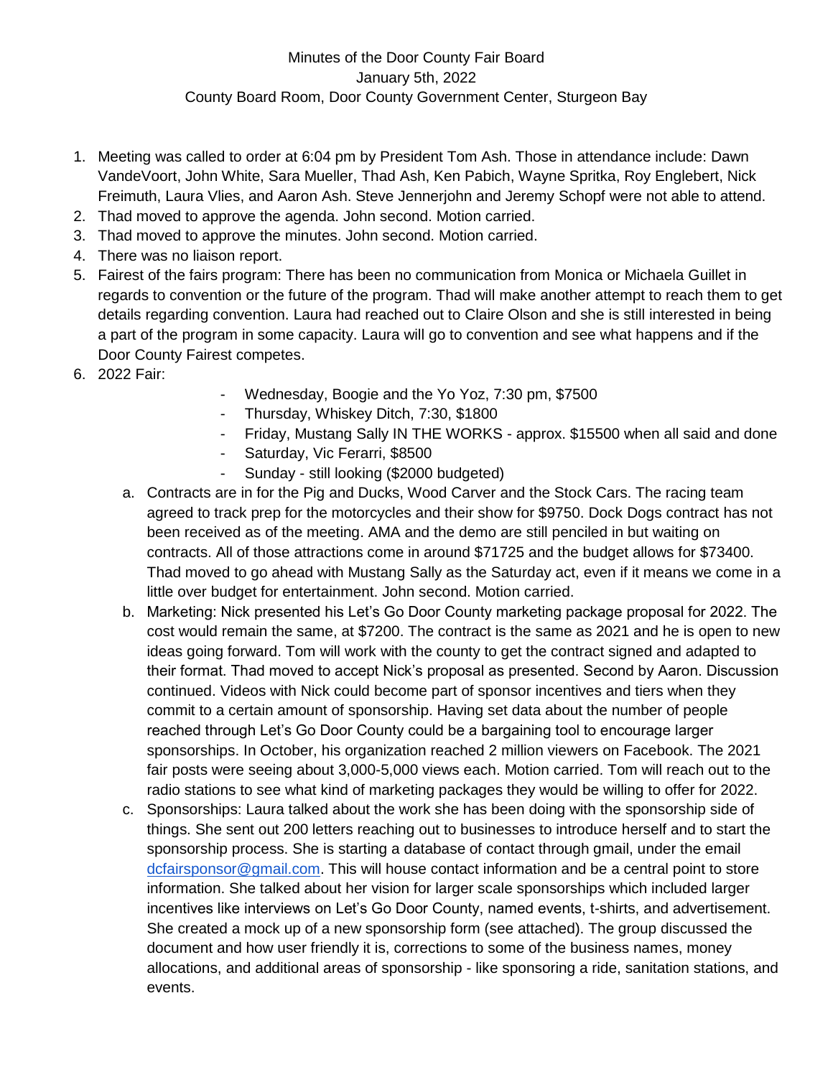- 1. Meeting was called to order at 6:04 pm by President Tom Ash. Those in attendance include: Dawn VandeVoort, John White, Sara Mueller, Thad Ash, Ken Pabich, Wayne Spritka, Roy Englebert, Nick Freimuth, Laura Vlies, and Aaron Ash. Steve Jennerjohn and Jeremy Schopf were not able to attend.
- 2. Thad moved to approve the agenda. John second. Motion carried.
- 3. Thad moved to approve the minutes. John second. Motion carried.
- 4. There was no liaison report.
- 5. Fairest of the fairs program: There has been no communication from Monica or Michaela Guillet in regards to convention or the future of the program. Thad will make another attempt to reach them to get details regarding convention. Laura had reached out to Claire Olson and she is still interested in being a part of the program in some capacity. Laura will go to convention and see what happens and if the Door County Fairest competes.
- 6. 2022 Fair:
- Wednesday, Boogie and the Yo Yoz, 7:30 pm, \$7500
- Thursday, Whiskey Ditch, 7:30, \$1800
- Friday, Mustang Sally IN THE WORKS approx. \$15500 when all said and done
- Saturday, Vic Ferarri, \$8500
- Sunday still looking (\$2000 budgeted)
- a. Contracts are in for the Pig and Ducks, Wood Carver and the Stock Cars. The racing team agreed to track prep for the motorcycles and their show for \$9750. Dock Dogs contract has not been received as of the meeting. AMA and the demo are still penciled in but waiting on contracts. All of those attractions come in around \$71725 and the budget allows for \$73400. Thad moved to go ahead with Mustang Sally as the Saturday act, even if it means we come in a little over budget for entertainment. John second. Motion carried.
- b. Marketing: Nick presented his Let's Go Door County marketing package proposal for 2022. The cost would remain the same, at \$7200. The contract is the same as 2021 and he is open to new ideas going forward. Tom will work with the county to get the contract signed and adapted to their format. Thad moved to accept Nick's proposal as presented. Second by Aaron. Discussion continued. Videos with Nick could become part of sponsor incentives and tiers when they commit to a certain amount of sponsorship. Having set data about the number of people reached through Let's Go Door County could be a bargaining tool to encourage larger sponsorships. In October, his organization reached 2 million viewers on Facebook. The 2021 fair posts were seeing about 3,000-5,000 views each. Motion carried. Tom will reach out to the radio stations to see what kind of marketing packages they would be willing to offer for 2022.
- c. Sponsorships: Laura talked about the work she has been doing with the sponsorship side of things. She sent out 200 letters reaching out to businesses to introduce herself and to start the sponsorship process. She is starting a database of contact through gmail, under the email [dcfairsponsor@gmail.com.](mailto:dcfairsponsor@gmail.com) This will house contact information and be a central point to store information. She talked about her vision for larger scale sponsorships which included larger incentives like interviews on Let's Go Door County, named events, t-shirts, and advertisement. She created a mock up of a new sponsorship form (see attached). The group discussed the document and how user friendly it is, corrections to some of the business names, money allocations, and additional areas of sponsorship - like sponsoring a ride, sanitation stations, and events.